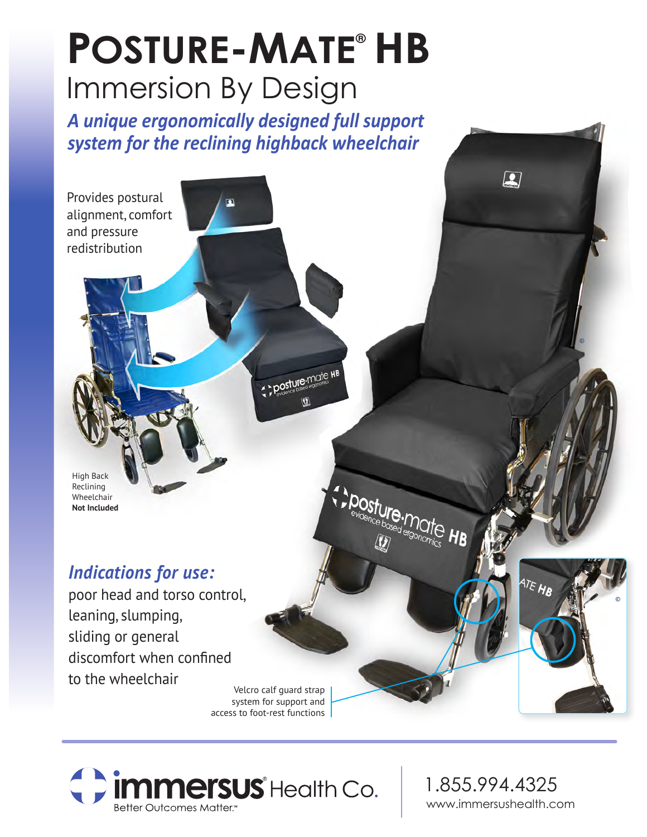# POSTURE-MATE® HB Immersion By Design

*A unique ergonomically designed full support system for the reclining highback wheelchair*

 $\mathbf{z}$ 



posture-mate HB

**posture.mate HB** 

High Back Reclining Wheelchair **Not Included**

### *Indications for use:*

poor head and torso control, leaning, slumping, sliding or general discomfort when confined to the wheelchair

Velcro calf guard strap system for support and access to foot-rest functions



1.855.994.4325 www.immersushealth.com

ATE HR

©

©

 $\boxed{2}$